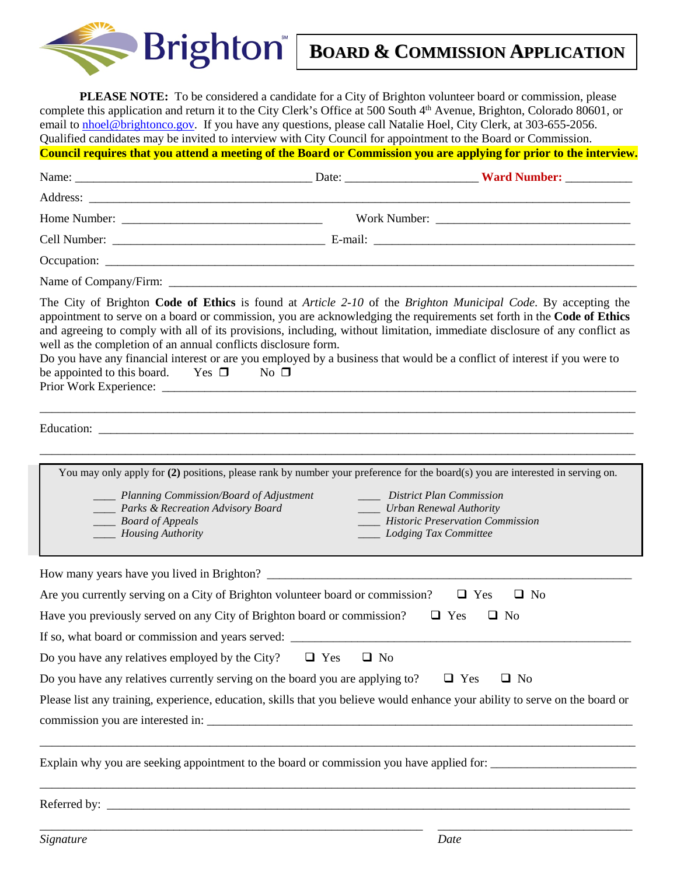

## **BOARD & COMMISSION APPLICATION**

**PLEASE NOTE:** To be considered a candidate for a City of Brighton volunteer board or commission, please complete this application and return it to the City Clerk's Office at 500 South 4<sup>th</sup> Avenue, Brighton, Colorado 80601, or email to **nhoel@brightonco.gov**. If you have any questions, please call Natalie Hoel, City Clerk, at 303-655-2056. Qualified candidates may be invited to interview with City Council for appointment to the Board or Commission. **Council requires that you attend a meeting of the Board or Commission you are applying for prior to the interview.** 

| well as the completion of an annual conflicts disclosure form.<br>Do you have any financial interest or are you employed by a business that would be a conflict of interest if you were to<br>be appointed to this board. Yes $\square$ No $\square$ |                         | The City of Brighton Code of Ethics is found at Article 2-10 of the Brighton Municipal Code. By accepting the<br>appointment to serve on a board or commission, you are acknowledging the requirements set forth in the Code of Ethics<br>and agreeing to comply with all of its provisions, including, without limitation, immediate disclosure of any conflict as |
|------------------------------------------------------------------------------------------------------------------------------------------------------------------------------------------------------------------------------------------------------|-------------------------|---------------------------------------------------------------------------------------------------------------------------------------------------------------------------------------------------------------------------------------------------------------------------------------------------------------------------------------------------------------------|
|                                                                                                                                                                                                                                                      |                         |                                                                                                                                                                                                                                                                                                                                                                     |
| ____ Planning Commission/Board of Adjustment<br>____ Parks & Recreation Advisory Board<br>$\_\_\_\_$ <i>Board of Appeals</i><br>____ Housing Authority                                                                                               |                         | You may only apply for $(2)$ positions, please rank by number your preference for the board(s) you are interested in serving on.<br>District Plan Commission<br>____ Urban Renewal Authority<br>____ Historic Preservation Commission<br>____ Lodging Tax Committee                                                                                                 |
| How many years have you lived in Brighton?                                                                                                                                                                                                           |                         |                                                                                                                                                                                                                                                                                                                                                                     |
| Are you currently serving on a City of Brighton volunteer board or commission?                                                                                                                                                                       |                         | $\Box$ No<br>$\Box$ Yes                                                                                                                                                                                                                                                                                                                                             |
| Have you previously served on any City of Brighton board or commission?                                                                                                                                                                              |                         | $\Box$ Yes<br>$\Box$ No                                                                                                                                                                                                                                                                                                                                             |
| If so, what board or commission and years served:                                                                                                                                                                                                    |                         |                                                                                                                                                                                                                                                                                                                                                                     |
| Do you have any relatives employed by the City?                                                                                                                                                                                                      | $\Box$ No<br>$\Box$ Yes |                                                                                                                                                                                                                                                                                                                                                                     |
| Do you have any relatives currently serving on the board you are applying to?                                                                                                                                                                        |                         | $\Box$ Yes<br>$\Box$ No                                                                                                                                                                                                                                                                                                                                             |
|                                                                                                                                                                                                                                                      |                         | Please list any training, experience, education, skills that you believe would enhance your ability to serve on the board or                                                                                                                                                                                                                                        |
|                                                                                                                                                                                                                                                      |                         | Explain why you are seeking appointment to the board or commission you have applied for: _____________________                                                                                                                                                                                                                                                      |
|                                                                                                                                                                                                                                                      |                         |                                                                                                                                                                                                                                                                                                                                                                     |